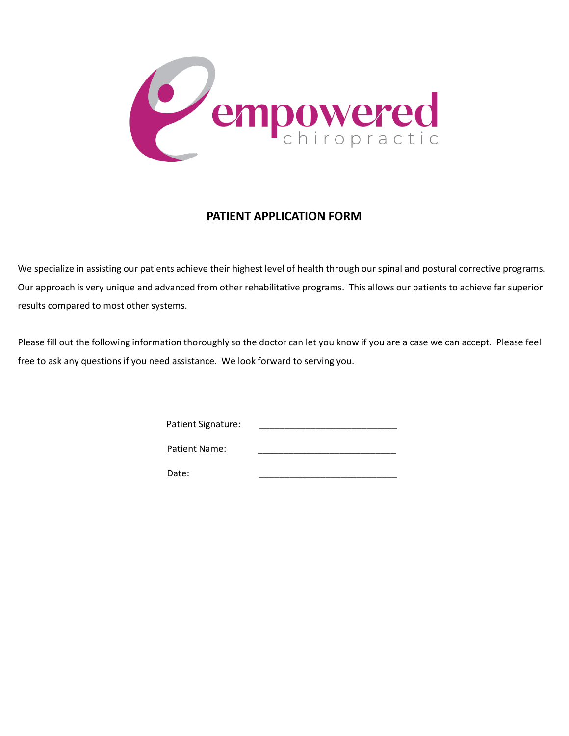

# **PATIENT APPLICATION FORM**

We specialize in assisting our patients achieve their highest level of health through our spinal and postural corrective programs. Our approach is very unique and advanced from other rehabilitative programs. This allows our patients to achieve far superior results compared to most other systems.

Please fill out the following information thoroughly so the doctor can let you know if you are a case we can accept. Please feel free to ask any questions if you need assistance. We look forward to serving you.

| <b>Patient Signature:</b> |
|---------------------------|
|                           |

| Patient Name: |  |
|---------------|--|
|               |  |

Date: \_\_\_\_\_\_\_\_\_\_\_\_\_\_\_\_\_\_\_\_\_\_\_\_\_\_\_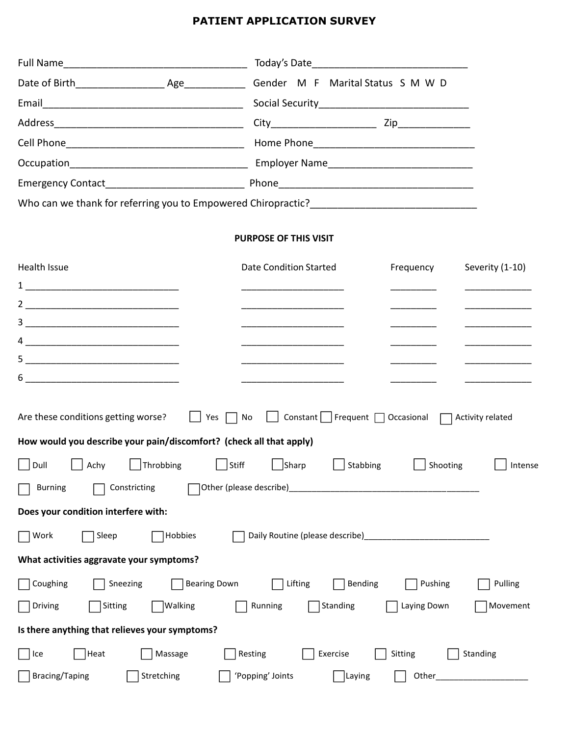# **PATIENT APPLICATION SURVEY**

| Full Name                                                           | Today's Date                                                                                                                                                                                                                         |
|---------------------------------------------------------------------|--------------------------------------------------------------------------------------------------------------------------------------------------------------------------------------------------------------------------------------|
|                                                                     |                                                                                                                                                                                                                                      |
| Email                                                               |                                                                                                                                                                                                                                      |
|                                                                     |                                                                                                                                                                                                                                      |
|                                                                     |                                                                                                                                                                                                                                      |
|                                                                     |                                                                                                                                                                                                                                      |
|                                                                     |                                                                                                                                                                                                                                      |
|                                                                     |                                                                                                                                                                                                                                      |
|                                                                     |                                                                                                                                                                                                                                      |
|                                                                     | <b>PURPOSE OF THIS VISIT</b>                                                                                                                                                                                                         |
| Health Issue                                                        | <b>Date Condition Started</b><br>Severity (1-10)<br>Frequency                                                                                                                                                                        |
|                                                                     |                                                                                                                                                                                                                                      |
|                                                                     |                                                                                                                                                                                                                                      |
|                                                                     |                                                                                                                                                                                                                                      |
|                                                                     | <u> 1999 - Johann John Harry Store Barnett av den stadt fra 1999 - første stadt fra 1999 - for det stadt fra 1999 - for det stadt fra 1999 - for det stadt fra 1999 - for det stadt fra 1999 - for det stadt fra 1999 - for det </u> |
|                                                                     |                                                                                                                                                                                                                                      |
|                                                                     |                                                                                                                                                                                                                                      |
|                                                                     |                                                                                                                                                                                                                                      |
| Are these conditions getting worse?<br>Yes                          | $Constant$ Frequent $\Box$ Occasional $\Box$<br>No<br>Activity related                                                                                                                                                               |
| How would you describe your pain/discomfort? (check all that apply) |                                                                                                                                                                                                                                      |
| Throbbing<br>$\vert$   Stiff<br>Dull<br>Achy                        | $\Box$ Sharp<br>Stabbing<br>Shooting<br>Intense                                                                                                                                                                                      |
| Constricting<br><b>Burning</b>                                      |                                                                                                                                                                                                                                      |
| Does your condition interfere with:                                 |                                                                                                                                                                                                                                      |
| Sleep<br>Hobbies<br>Work                                            |                                                                                                                                                                                                                                      |
| What activities aggravate your symptoms?                            |                                                                                                                                                                                                                                      |
| <b>Bearing Down</b><br>Coughing<br>Sneezing                         | Pushing<br>Lifting<br>Bending<br>Pulling                                                                                                                                                                                             |
| Walking<br>Driving<br>Sitting                                       | Running<br>Standing<br>Laying Down<br>Movement                                                                                                                                                                                       |
| Is there anything that relieves your symptoms?                      |                                                                                                                                                                                                                                      |
| Heat<br>Massage<br>Ice                                              | Sitting<br>Resting<br>Exercise<br>Standing                                                                                                                                                                                           |
| <b>Bracing/Taping</b><br>Stretching                                 | 'Popping' Joints<br>$\exists$ Laying<br>Other_                                                                                                                                                                                       |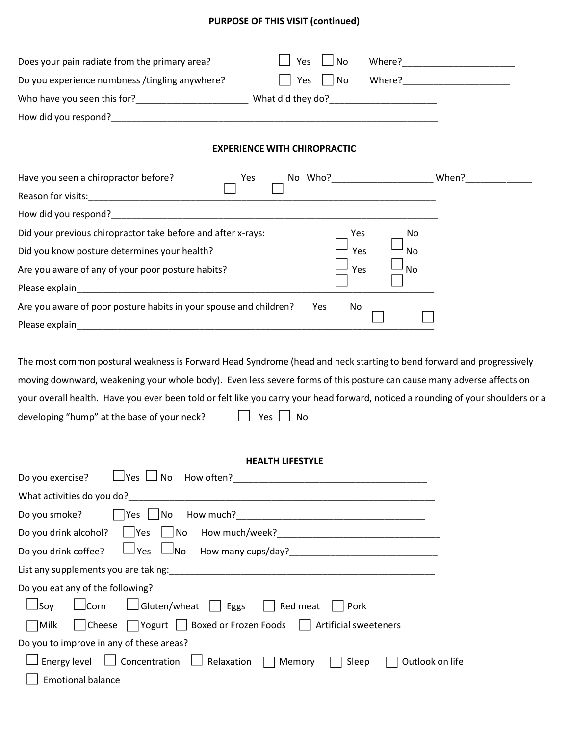# **PURPOSE OF THIS VISIT (continued)**

| Does your pain radiate from the primary area?<br>No<br>Yes                                                                                                                                                                                                                                                                                                                                                                                     |                                                                                                               |
|------------------------------------------------------------------------------------------------------------------------------------------------------------------------------------------------------------------------------------------------------------------------------------------------------------------------------------------------------------------------------------------------------------------------------------------------|---------------------------------------------------------------------------------------------------------------|
| Do you experience numbness /tingling anywhere?<br>$\Box$ No<br>Yes                                                                                                                                                                                                                                                                                                                                                                             | Where? Management of the United States of the United States and the United States of the United States and Ta |
|                                                                                                                                                                                                                                                                                                                                                                                                                                                |                                                                                                               |
|                                                                                                                                                                                                                                                                                                                                                                                                                                                |                                                                                                               |
| <b>EXPERIENCE WITH CHIROPRACTIC</b>                                                                                                                                                                                                                                                                                                                                                                                                            |                                                                                                               |
| Have you seen a chiropractor before?<br>Yes                                                                                                                                                                                                                                                                                                                                                                                                    |                                                                                                               |
|                                                                                                                                                                                                                                                                                                                                                                                                                                                |                                                                                                               |
| How did you respond?                                                                                                                                                                                                                                                                                                                                                                                                                           |                                                                                                               |
| Did your previous chiropractor take before and after x-rays:<br>Yes<br>No                                                                                                                                                                                                                                                                                                                                                                      |                                                                                                               |
| Did you know posture determines your health?<br>Yes<br>No                                                                                                                                                                                                                                                                                                                                                                                      |                                                                                                               |
| Yes<br>Are you aware of any of your poor posture habits?<br><b>No</b>                                                                                                                                                                                                                                                                                                                                                                          |                                                                                                               |
| Please explain<br><u> 2000 - Jan James James James James James James James James James James James James James James James James Ja</u>                                                                                                                                                                                                                                                                                                        |                                                                                                               |
| Are you aware of poor posture habits in your spouse and children?<br>No<br>Yes                                                                                                                                                                                                                                                                                                                                                                 |                                                                                                               |
|                                                                                                                                                                                                                                                                                                                                                                                                                                                |                                                                                                               |
| The most common postural weakness is Forward Head Syndrome (head and neck starting to bend forward and progressively<br>moving downward, weakening your whole body). Even less severe forms of this posture can cause many adverse affects on<br>your overall health. Have you ever been told or felt like you carry your head forward, noticed a rounding of your shoulders or a<br>developing "hump" at the base of your neck?<br>Yes     No |                                                                                                               |
| <b>HEALTH LIFESTYLE</b>                                                                                                                                                                                                                                                                                                                                                                                                                        |                                                                                                               |
| Do you exercise?                                                                                                                                                                                                                                                                                                                                                                                                                               |                                                                                                               |
|                                                                                                                                                                                                                                                                                                                                                                                                                                                |                                                                                                               |
| $\Box$ Yes $\Box$ No<br>Do you smoke?                                                                                                                                                                                                                                                                                                                                                                                                          |                                                                                                               |
| Do you drink alcohol?                                                                                                                                                                                                                                                                                                                                                                                                                          |                                                                                                               |
| $\Box$ Yes $\Box$ No<br>Do you drink coffee?                                                                                                                                                                                                                                                                                                                                                                                                   |                                                                                                               |
|                                                                                                                                                                                                                                                                                                                                                                                                                                                |                                                                                                               |
| Do you eat any of the following?                                                                                                                                                                                                                                                                                                                                                                                                               |                                                                                                               |
| $\Box$ Soy<br>$\Box$ Corn<br>$\Box$ Gluten/wheat $\Box$ Eggs<br>Red meat<br>Pork                                                                                                                                                                                                                                                                                                                                                               |                                                                                                               |
| $\Box$ Yogurt $\Box$ Boxed or Frozen Foods $\Box$ Artificial sweeteners<br>$ M$ ilk<br>Cheese                                                                                                                                                                                                                                                                                                                                                  |                                                                                                               |

Do you to improve in any of these areas?  $\Box$  Energy level  $\Box$  Concentration  $\Box$  Relaxation  $\Box$  Memory  $\Box$  Sleep  $\Box$  Outlook on life

 $\Box$  Emotional balance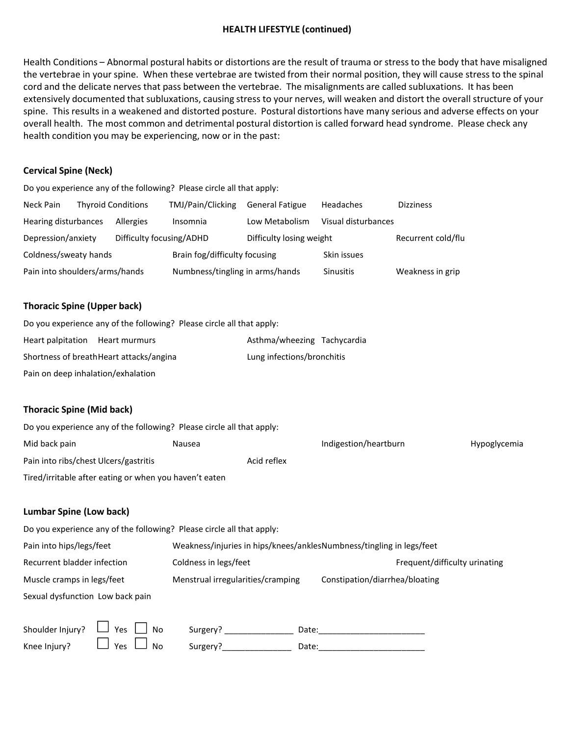#### **HEALTH LIFESTYLE (continued)**

Health Conditions – Abnormal postural habits or distortions are the result of trauma or stress to the body that have misaligned the vertebrae in your spine. When these vertebrae are twisted from their normal position, they will cause stress to the spinal cord and the delicate nerves that pass between the vertebrae. The misalignments are called subluxations. It has been extensively documented that subluxations, causing stress to your nerves, will weaken and distort the overall structure of your spine. This results in a weakened and distorted posture. Postural distortions have many serious and adverse effects on your overall health. The most common and detrimental postural distortion is called forward head syndrome. Please check any health condition you may be experiencing, now or in the past:

#### **Cervical Spine (Neck)**

Do you experience any of the following? Please circle all that apply: Neck Pain Thyroid Conditions TMJ/Pain/Clicking General Fatigue Headaches Dizziness Hearing disturbances Allergies Insomnia Low Metabolism Visual disturbances Depression/anxiety Difficulty focusing/ADHD Difficulty losing weight Recurrent cold/flu Coldness/sweaty hands Brain fog/difficulty focusing Skin issues Pain into shoulders/arms/hands Numbness/tingling in arms/hands Sinusitis Weakness in grip

# **Thoracic Spine (Upper back)**

|                                    | Do you experience any of the following? Please circle all that apply: |                             |  |
|------------------------------------|-----------------------------------------------------------------------|-----------------------------|--|
| Heart palpitation Heart murmurs    |                                                                       | Asthma/wheezing Tachycardia |  |
|                                    | Shortness of breathHeart attacks/angina                               | Lung infections/bronchitis  |  |
| Pain on deep inhalation/exhalation |                                                                       |                             |  |

# **Thoracic Spine (Mid back)**

| Do you experience any of the following? Please circle all that apply: |        |             |                       |                     |
|-----------------------------------------------------------------------|--------|-------------|-----------------------|---------------------|
| Mid back pain                                                         | Nausea |             | Indigestion/heartburn | <b>Hypoglycemia</b> |
| Pain into ribs/chest Ulcers/gastritis                                 |        | Acid reflex |                       |                     |
| Tired/irritable after eating or when you haven't eaten                |        |             |                       |                     |

#### **Lumbar Spine (Low back)**

| Do you experience any of the following? Please circle all that apply: |                                                                      |                                |
|-----------------------------------------------------------------------|----------------------------------------------------------------------|--------------------------------|
| Pain into hips/legs/feet                                              | Weakness/injuries in hips/knees/anklesNumbness/tingling in legs/feet |                                |
| Recurrent bladder infection                                           | Coldness in legs/feet                                                | Frequent/difficulty urinating  |
| Muscle cramps in legs/feet                                            | Menstrual irregularities/cramping                                    | Constipation/diarrhea/bloating |
| Sexual dysfunction Low back pain                                      |                                                                      |                                |

| Shoulder Injury? $\Box$ Yes $\Box$ No      | Surgery? | Date: |
|--------------------------------------------|----------|-------|
| Knee Injury? $\Box$ Yes $\Box$ No Surgery? |          | Date: |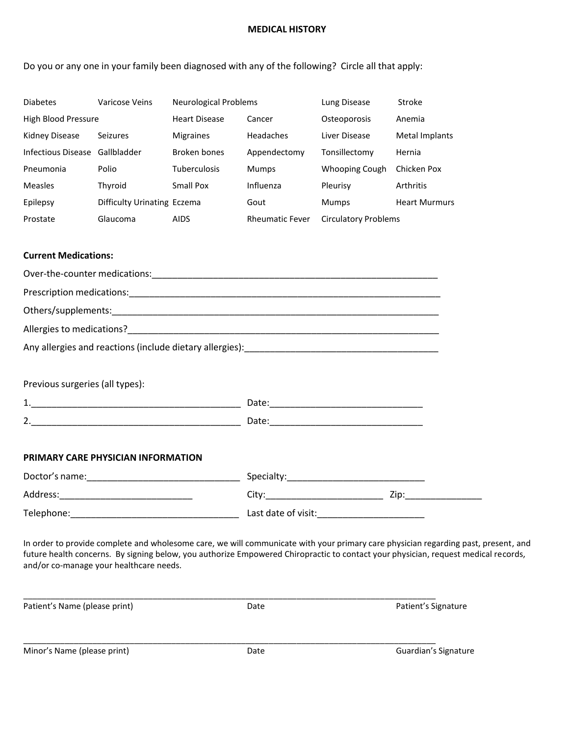#### **MEDICAL HISTORY**

Do you or any one in your family been diagnosed with any of the following? Circle all that apply:

| <b>Diabetes</b>     | Varicose Veins              | Neurological Problems |                        | Lung Disease                | Stroke               |
|---------------------|-----------------------------|-----------------------|------------------------|-----------------------------|----------------------|
| High Blood Pressure |                             | <b>Heart Disease</b>  | Cancer                 | Osteoporosis                | Anemia               |
| Kidney Disease      | Seizures                    | <b>Migraines</b>      | Headaches              | Liver Disease               | Metal Implants       |
| Infectious Disease  | Gallbladder                 | Broken bones          | Appendectomy           | Tonsillectomy               | Hernia               |
| Pneumonia           | Polio                       | <b>Tuberculosis</b>   | Mumps                  | Whooping Cough              | Chicken Pox          |
| <b>Measles</b>      | Thyroid                     | Small Pox             | Influenza              | Pleurisy                    | Arthritis            |
| Epilepsy            | Difficulty Urinating Eczema |                       | Gout                   | <b>Mumps</b>                | <b>Heart Murmurs</b> |
| Prostate            | Glaucoma                    | <b>AIDS</b>           | <b>Rheumatic Fever</b> | <b>Circulatory Problems</b> |                      |

#### **Current Medications:**

| Previous surgeries (all types):            |  |
|--------------------------------------------|--|
|                                            |  |
|                                            |  |
|                                            |  |
| PRIMARY CARE PHYSICIAN INFORMATION         |  |
|                                            |  |
| Address:__________________________________ |  |
|                                            |  |
|                                            |  |

In order to provide complete and wholesome care, we will communicate with your primary care physician regarding past, present, and future health concerns. By signing below, you authorize Empowered Chiropractic to contact your physician, request medical records, and/or co-manage your healthcare needs.

| Patient's Name (please print) | Date | Patient's Signature  |
|-------------------------------|------|----------------------|
|                               |      |                      |
| Minor's Name (please print)   | Date | Guardian's Signature |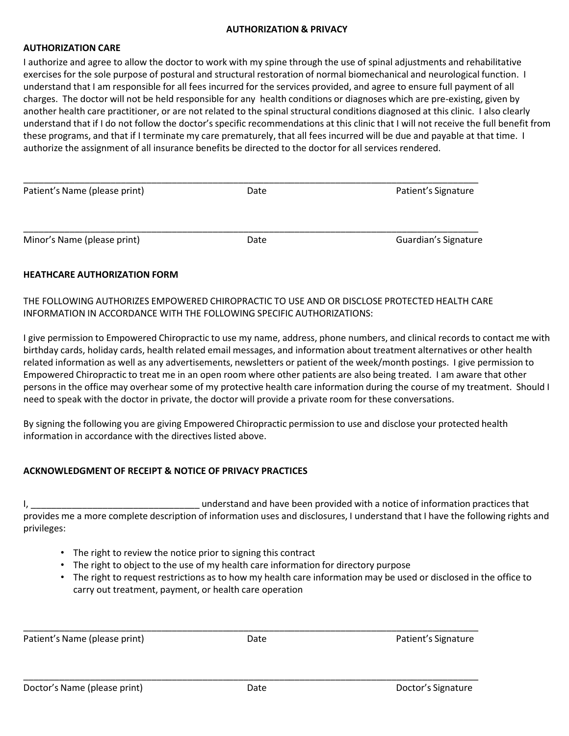#### **AUTHORIZATION & PRIVACY**

#### **AUTHORIZATION CARE**

I authorize and agree to allow the doctor to work with my spine through the use of spinal adjustments and rehabilitative exercises for the sole purpose of postural and structural restoration of normal biomechanical and neurological function. I understand that I am responsible for all fees incurred for the services provided, and agree to ensure full payment of all charges. The doctor will not be held responsible for any health conditions or diagnoses which are pre-existing, given by another health care practitioner, or are not related to the spinal structural conditions diagnosed at this clinic. I also clearly understand that if I do not follow the doctor's specific recommendations at this clinic that I will not receive the full benefit from these programs, and that if I terminate my care prematurely, that all fees incurred will be due and payable at that time. I authorize the assignment of all insurance benefits be directed to the doctor for all services rendered.

| Patient's Name (please print) | Date | Patient's Signature  |
|-------------------------------|------|----------------------|
| Minor's Name (please print)   | Date | Guardian's Signature |

# **HEATHCARE AUTHORIZATION FORM**

THE FOLLOWING AUTHORIZES EMPOWERED CHIROPRACTIC TO USE AND OR DISCLOSE PROTECTED HEALTH CARE INFORMATION IN ACCORDANCE WITH THE FOLLOWING SPECIFIC AUTHORIZATIONS:

I give permission to Empowered Chiropractic to use my name, address, phone numbers, and clinical records to contact me with birthday cards, holiday cards, health related email messages, and information about treatment alternatives or other health related information as well as any advertisements, newsletters or patient of the week/month postings. I give permission to Empowered Chiropractic to treat me in an open room where other patients are also being treated. I am aware that other persons in the office may overhear some of my protective health care information during the course of my treatment. Should I need to speak with the doctor in private, the doctor will provide a private room for these conversations.

By signing the following you are giving Empowered Chiropractic permission to use and disclose your protected health information in accordance with the directives listed above.

# **ACKNOWLEDGMENT OF RECEIPT & NOTICE OF PRIVACY PRACTICES**

I, the contraction of the stand and have been provided with a notice of information practices that provides me a more complete description of information uses and disclosures, I understand that I have the following rights and privileges:

- The right to review the notice prior to signing this contract
- The right to object to the use of my health care information for directory purpose
- The right to request restrictions as to how my health care information may be used or disclosed in the office to carry out treatment, payment, or health care operation

\_\_\_\_\_\_\_\_\_\_\_\_\_\_\_\_\_\_\_\_\_\_\_\_\_\_\_\_\_\_\_\_\_\_\_\_\_\_\_\_\_\_\_\_\_\_\_\_\_\_\_\_\_\_\_\_\_\_\_\_\_\_\_\_\_\_\_\_\_\_\_\_\_\_\_\_\_\_\_\_\_\_\_\_\_\_\_\_\_ Patient's Name (please print) and Date Date Date Research Patient's Signature